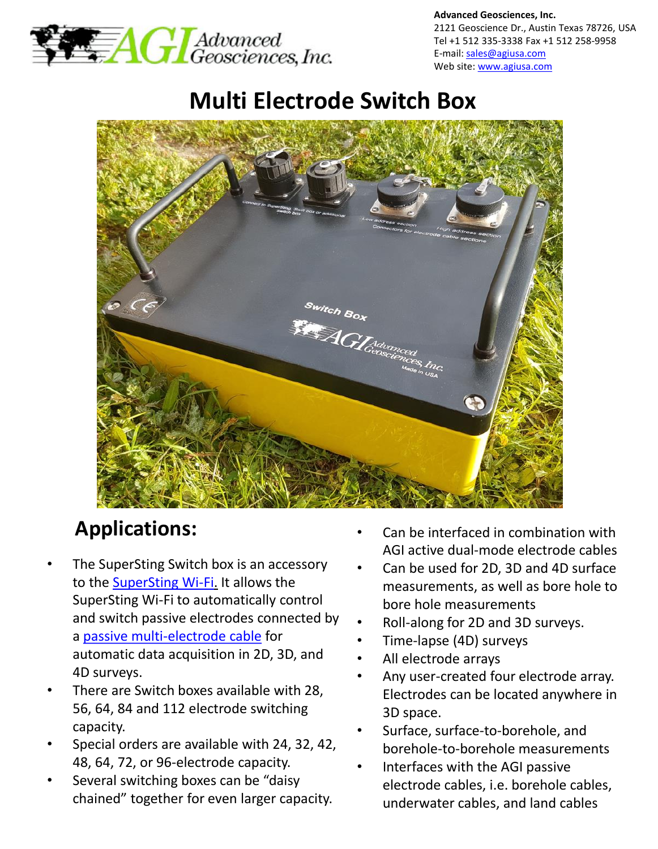

**Advanced Geosciences, Inc.** 2121 Geoscience Dr., Austin Texas 78726, USA Tel +1 512 335-3338 Fax +1 512 258-9958 E-mail: [sales@agiusa.com](mailto:sales@agiusa.com) Web site: [www.agiusa.com](http://www.agiusa.com/)

# **Multi Electrode Switch Box**



# **Applications:**

- The SuperSting Switch box is an accessory to the [SuperSting Wi-Fi](http://www.agiusa.com/supersting-wi-fi). It allows the SuperSting Wi-Fi to automatically control and switch passive electrodes connected by a [passive multi-electrode cable](http://www.agiusa.com/passive-electrode-cables) for automatic data acquisition in 2D, 3D, and 4D surveys.
- There are Switch boxes available with 28, 56, 64, 84 and 112 electrode switching capacity.
- Special orders are available with 24, 32, 42, 48, 64, 72, or 96-electrode capacity.
- Several switching boxes can be "daisy" chained" together for even larger capacity.
- Can be interfaced in combination with AGI active dual-mode electrode cables
- Can be used for 2D, 3D and 4D surface measurements, as well as bore hole to bore hole measurements
- Roll-along for 2D and 3D surveys.
- Time-lapse (4D) surveys
- All electrode arrays
- Any user-created four electrode array. Electrodes can be located anywhere in 3D space.
- Surface, surface-to-borehole, and borehole-to-borehole measurements
- Interfaces with the AGI passive electrode cables, i.e. borehole cables, underwater cables, and land cables